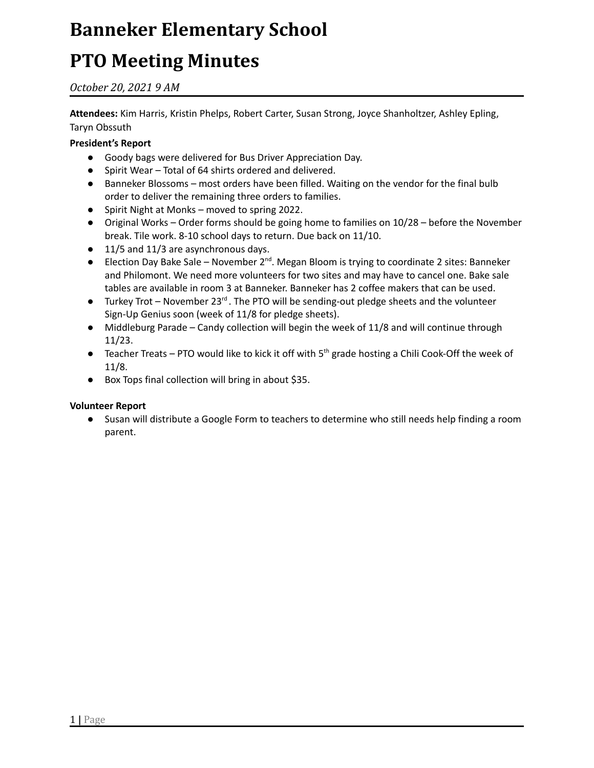### **PTO Meeting Minutes**

*October 20, 2021 9 AM*

**Attendees:** Kim Harris, Kristin Phelps, Robert Carter, Susan Strong, Joyce Shanholtzer, Ashley Epling, Taryn Obssuth

#### **President's Report**

- Goody bags were delivered for Bus Driver Appreciation Day.
- Spirit Wear Total of 64 shirts ordered and delivered.
- Banneker Blossoms most orders have been filled. Waiting on the vendor for the final bulb order to deliver the remaining three orders to families.
- Spirit Night at Monks moved to spring 2022.
- Original Works Order forms should be going home to families on 10/28 before the November break. Tile work. 8-10 school days to return. Due back on 11/10.
- 11/5 and 11/3 are asynchronous days.
- Election Day Bake Sale November 2<sup>nd</sup>. Megan Bloom is trying to coordinate 2 sites: Banneker and Philomont. We need more volunteers for two sites and may have to cancel one. Bake sale tables are available in room 3 at Banneker. Banneker has 2 coffee makers that can be used.
- Turkey Trot November 23<sup>rd</sup>. The PTO will be sending-out pledge sheets and the volunteer Sign-Up Genius soon (week of 11/8 for pledge sheets).
- Middleburg Parade Candy collection will begin the week of 11/8 and will continue through 11/23.
- **•** Teacher Treats PTO would like to kick it off with  $5<sup>th</sup>$  grade hosting a Chili Cook-Off the week of 11/8.
- Box Tops final collection will bring in about \$35.

#### **Volunteer Report**

● Susan will distribute a Google Form to teachers to determine who still needs help finding a room parent.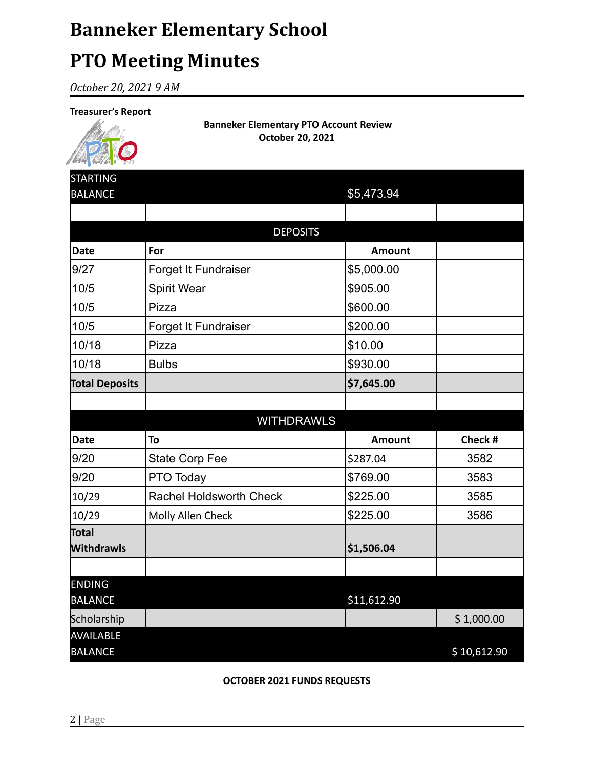### **PTO Meeting Minutes**

*October 20, 2021 9 AM*

#### **Treasurer's Report**



**Banneker Elementary PTO Account Review October 20, 2021**

| <b>STARTING</b>                    |                                |               |             |  |
|------------------------------------|--------------------------------|---------------|-------------|--|
| <b>BALANCE</b>                     |                                | \$5,473.94    |             |  |
|                                    |                                |               |             |  |
| <b>DEPOSITS</b>                    |                                |               |             |  |
| <b>Date</b>                        | For                            | <b>Amount</b> |             |  |
| 9/27                               | Forget It Fundraiser           | \$5,000.00    |             |  |
| 10/5                               | Spirit Wear                    | \$905.00      |             |  |
| 10/5                               | Pizza                          | \$600.00      |             |  |
| 10/5                               | Forget It Fundraiser           | \$200.00      |             |  |
| 10/18                              | Pizza                          | \$10.00       |             |  |
| 10/18                              | <b>Bulbs</b>                   | \$930.00      |             |  |
| <b>Total Deposits</b>              |                                | \$7,645.00    |             |  |
|                                    |                                |               |             |  |
|                                    | <b>WITHDRAWLS</b>              |               |             |  |
| <b>Date</b>                        | To                             | Amount        | Check #     |  |
| 9/20                               | <b>State Corp Fee</b>          | \$287.04      | 3582        |  |
| 9/20                               | PTO Today                      | \$769.00      | 3583        |  |
| 10/29                              | <b>Rachel Holdsworth Check</b> | \$225.00      | 3585        |  |
| 10/29                              | Molly Allen Check              | \$225.00      | 3586        |  |
| Total                              |                                |               |             |  |
| Withdrawls                         |                                | \$1,506.04    |             |  |
|                                    |                                |               |             |  |
| <b>ENDING</b>                      |                                |               |             |  |
| <b>BALANCE</b>                     |                                | \$11,612.90   |             |  |
| Scholarship                        |                                |               | \$1,000.00  |  |
| <b>AVAILABLE</b><br><b>BALANCE</b> |                                |               | \$10,612.90 |  |
|                                    |                                |               |             |  |

**OCTOBER 2021 FUNDS REQUESTS**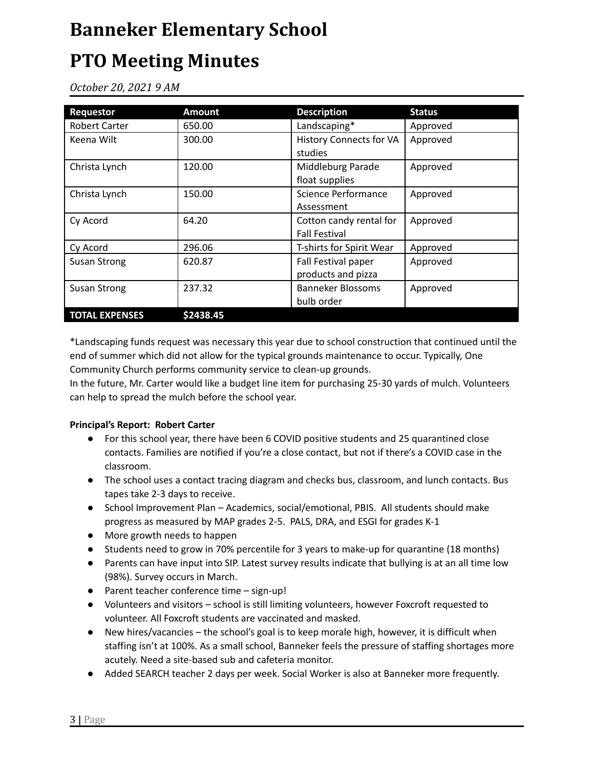### **PTO Meeting Minutes**

*October 20, 2021 9 AM*

| <b>Requestor</b>      | <b>Amount</b> | <b>Description</b>                              | <b>Status</b> |
|-----------------------|---------------|-------------------------------------------------|---------------|
| <b>Robert Carter</b>  | 650.00        | Landscaping*                                    | Approved      |
| Keena Wilt            | 300.00        | <b>History Connects for VA</b><br>studies       | Approved      |
| Christa Lynch         | 120.00        | Middleburg Parade<br>float supplies             | Approved      |
| Christa Lynch         | 150.00        | <b>Science Performance</b><br>Assessment        | Approved      |
| Cy Acord              | 64.20         | Cotton candy rental for<br><b>Fall Festival</b> | Approved      |
| Cy Acord              | 296.06        | T-shirts for Spirit Wear                        | Approved      |
| <b>Susan Strong</b>   | 620.87        | Fall Festival paper<br>products and pizza       | Approved      |
| <b>Susan Strong</b>   | 237.32        | Banneker Blossoms<br>bulb order                 | Approved      |
| <b>TOTAL EXPENSES</b> | \$2438.45     |                                                 |               |

\*Landscaping funds request was necessary this year due to school construction that continued until the end of summer which did not allow for the typical grounds maintenance to occur. Typically, One Community Church performs community service to clean-up grounds.

In the future, Mr. Carter would like a budget line item for purchasing 25-30 yards of mulch. Volunteers can help to spread the mulch before the school year.

#### **Principal's Report: Robert Carter**

- For this school year, there have been 6 COVID positive students and 25 quarantined close contacts. Families are notified if you're a close contact, but not if there's a COVID case in the classroom.
- The school uses a contact tracing diagram and checks bus, classroom, and lunch contacts. Bus tapes take 2-3 days to receive.
- School Improvement Plan Academics, social/emotional, PBIS. All students should make progress as measured by MAP grades 2-5. PALS, DRA, and ESGI for grades K-1
- More growth needs to happen
- Students need to grow in 70% percentile for 3 years to make-up for quarantine (18 months)
- Parents can have input into SIP. Latest survey results indicate that bullying is at an all time low (98%). Survey occurs in March.
- Parent teacher conference time sign-up!
- Volunteers and visitors school is still limiting volunteers, however Foxcroft requested to volunteer. All Foxcroft students are vaccinated and masked.
- New hires/vacancies the school's goal is to keep morale high, however, it is difficult when staffing isn't at 100%. As a small school, Banneker feels the pressure of staffing shortages more acutely. Need a site-based sub and cafeteria monitor.
- Added SEARCH teacher 2 days per week. Social Worker is also at Banneker more frequently.